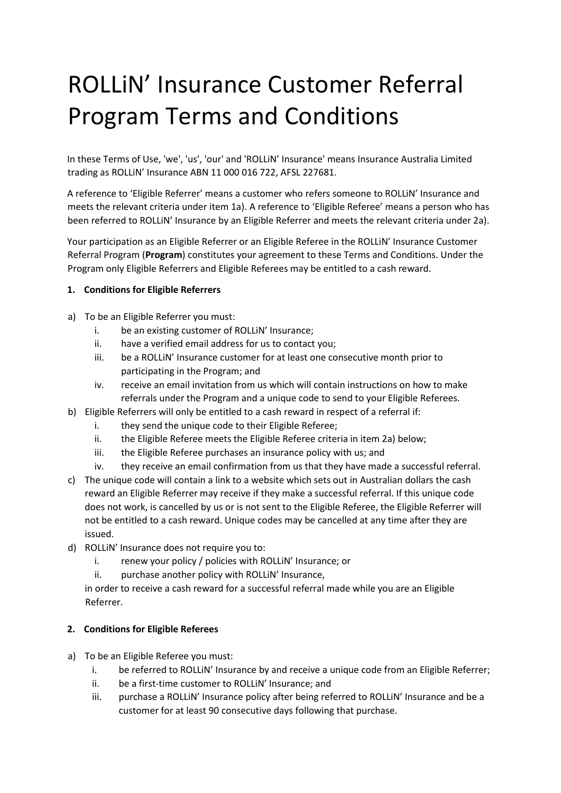## ROLLiN' Insurance Customer Referral Program Terms and Conditions

In these Terms of Use, 'we', 'us', 'our' and 'ROLLiN' Insurance' means Insurance Australia Limited trading as ROLLiN' Insurance ABN 11 000 016 722, AFSL 227681.

A reference to 'Eligible Referrer' means a customer who refers someone to ROLLiN' Insurance and meets the relevant criteria under item 1a). A reference to 'Eligible Referee' means a person who has been referred to ROLLiN' Insurance by an Eligible Referrer and meets the relevant criteria under 2a).

Your participation as an Eligible Referrer or an Eligible Referee in the ROLLiN' Insurance Customer Referral Program (**Program**) constitutes your agreement to these Terms and Conditions. Under the Program only Eligible Referrers and Eligible Referees may be entitled to a cash reward.

## **1. Conditions for Eligible Referrers**

- a) To be an Eligible Referrer you must:
	- i. be an existing customer of ROLLiN' Insurance;
	- ii. have a verified email address for us to contact you;
	- iii. be a ROLLiN' Insurance customer for at least one consecutive month prior to participating in the Program; and
	- iv. receive an email invitation from us which will contain instructions on how to make referrals under the Program and a unique code to send to your Eligible Referees.
- b) Eligible Referrers will only be entitled to a cash reward in respect of a referral if:
	- i. they send the unique code to their Eligible Referee;
	- ii. the Eligible Referee meets the Eligible Referee criteria in item 2a) below;
	- iii. the Eligible Referee purchases an insurance policy with us; and
	- iv. they receive an email confirmation from us that they have made a successful referral.
- c) The unique code will contain a link to a website which sets out in Australian dollars the cash reward an Eligible Referrer may receive if they make a successful referral. If this unique code does not work, is cancelled by us or is not sent to the Eligible Referee, the Eligible Referrer will not be entitled to a cash reward. Unique codes may be cancelled at any time after they are issued.
- d) ROLLiN' Insurance does not require you to:
	- i. renew your policy / policies with ROLLIN' Insurance; or
	- ii. purchase another policy with ROLLiN' Insurance,

in order to receive a cash reward for a successful referral made while you are an Eligible Referrer.

## **2. Conditions for Eligible Referees**

- a) To be an Eligible Referee you must:
	- i. be referred to ROLLiN' Insurance by and receive a unique code from an Eligible Referrer;
	- ii. be a first-time customer to ROLLiN' Insurance; and
	- iii. purchase a ROLLiN' Insurance policy after being referred to ROLLiN' Insurance and be a customer for at least 90 consecutive days following that purchase.